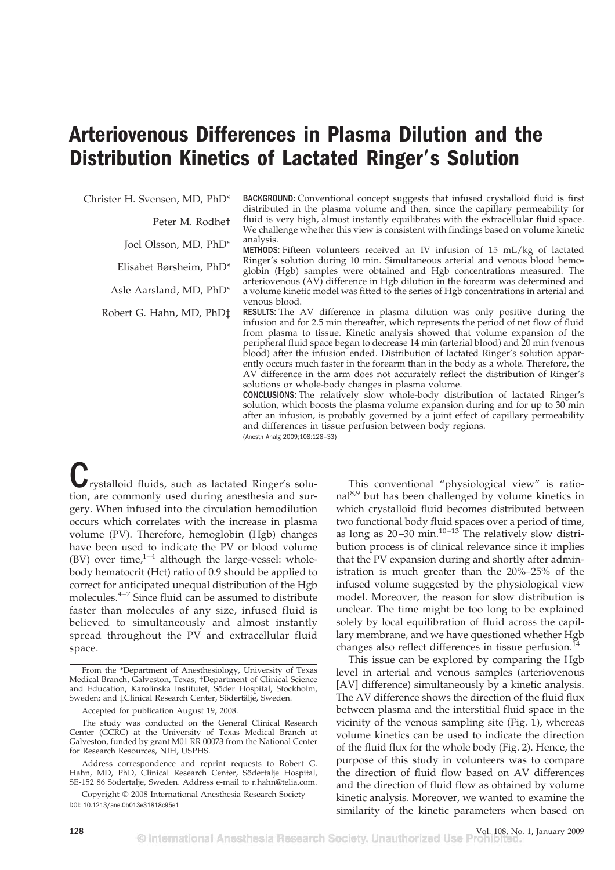# Arteriovenous Differences in Plasma Dilution and the Distribution Kinetics of Lactated Ringer's Solution

Christer H. Svensen, MD, PhD\*

Peter M. Rodhe†

Joel Olsson, MD, PhD\*

Elisabet Børsheim, PhD\*

Asle Aarsland, MD, PhD\*

Robert G. Hahn, MD, PhD‡

BACKGROUND: Conventional concept suggests that infused crystalloid fluid is first distributed in the plasma volume and then, since the capillary permeability for fluid is very high, almost instantly equilibrates with the extracellular fluid space. We challenge whether this view is consistent with findings based on volume kinetic analysis.

METHODS: Fifteen volunteers received an IV infusion of 15 mL/kg of lactated Ringer's solution during 10 min. Simultaneous arterial and venous blood hemoglobin (Hgb) samples were obtained and Hgb concentrations measured. The arteriovenous (AV) difference in Hgb dilution in the forearm was determined and a volume kinetic model was fitted to the series of Hgb concentrations in arterial and venous blood.

RESULTS: The AV difference in plasma dilution was only positive during the infusion and for 2.5 min thereafter, which represents the period of net flow of fluid from plasma to tissue. Kinetic analysis showed that volume expansion of the peripheral fluid space began to decrease 14 min (arterial blood) and 20 min (venous blood) after the infusion ended. Distribution of lactated Ringer's solution apparently occurs much faster in the forearm than in the body as a whole. Therefore, the AV difference in the arm does not accurately reflect the distribution of Ringer's solutions or whole-body changes in plasma volume.

CONCLUSIONS: The relatively slow whole-body distribution of lactated Ringer's solution, which boosts the plasma volume expansion during and for up to 30 min after an infusion, is probably governed by a joint effect of capillary permeability and differences in tissue perfusion between body regions. (Anesth Analg 2009;108:128–33)

Crystalloid fluids, such as lactated Ringer's solution, are commonly used during anesthesia and surgery. When infused into the circulation hemodilution occurs which correlates with the increase in plasma volume (PV). Therefore, hemoglobin (Hgb) changes have been used to indicate the PV or blood volume (BV) over time, $1-4$  although the large-vessel: wholebody hematocrit (Hct) ratio of 0.9 should be applied to correct for anticipated unequal distribution of the Hgb molecules.4–7 Since fluid can be assumed to distribute faster than molecules of any size, infused fluid is believed to simultaneously and almost instantly spread throughout the PV and extracellular fluid space.

Copyright © 2008 International Anesthesia Research Society DOI: 10.1213/ane.0b013e31818c95e1

This conventional "physiological view" is rational<sup>8,9</sup> but has been challenged by volume kinetics in which crystalloid fluid becomes distributed between two functional body fluid spaces over a period of time, as long as  $20-30$  min.<sup>10–13</sup> The relatively slow distribution process is of clinical relevance since it implies that the PV expansion during and shortly after administration is much greater than the 20%–25% of the infused volume suggested by the physiological view model. Moreover, the reason for slow distribution is unclear. The time might be too long to be explained solely by local equilibration of fluid across the capillary membrane, and we have questioned whether Hgb changes also reflect differences in tissue perfusion.<sup>14</sup>

This issue can be explored by comparing the Hgb level in arterial and venous samples (arteriovenous [AV] difference) simultaneously by a kinetic analysis. The AV difference shows the direction of the fluid flux between plasma and the interstitial fluid space in the vicinity of the venous sampling site (Fig. 1), whereas volume kinetics can be used to indicate the direction of the fluid flux for the whole body (Fig. 2). Hence, the purpose of this study in volunteers was to compare the direction of fluid flow based on AV differences and the direction of fluid flow as obtained by volume kinetic analysis. Moreover, we wanted to examine the similarity of the kinetic parameters when based on

From the \*Department of Anesthesiology, University of Texas Medical Branch, Galveston, Texas; †Department of Clinical Science and Education, Karolinska institutet, Söder Hospital, Stockholm, Sweden; and ‡Clinical Research Center, Södertälje, Sweden.

Accepted for publication August 19, 2008.

The study was conducted on the General Clinical Research Center (GCRC) at the University of Texas Medical Branch at Galveston, funded by grant M01 RR 00073 from the National Center for Research Resources, NIH, USPHS.

Address correspondence and reprint requests to Robert G. Hahn, MD, PhD, Clinical Research Center, Södertalje Hospital, SE-152 86 Södertalje, Sweden. Address e-mail to r.hahn@telia.com.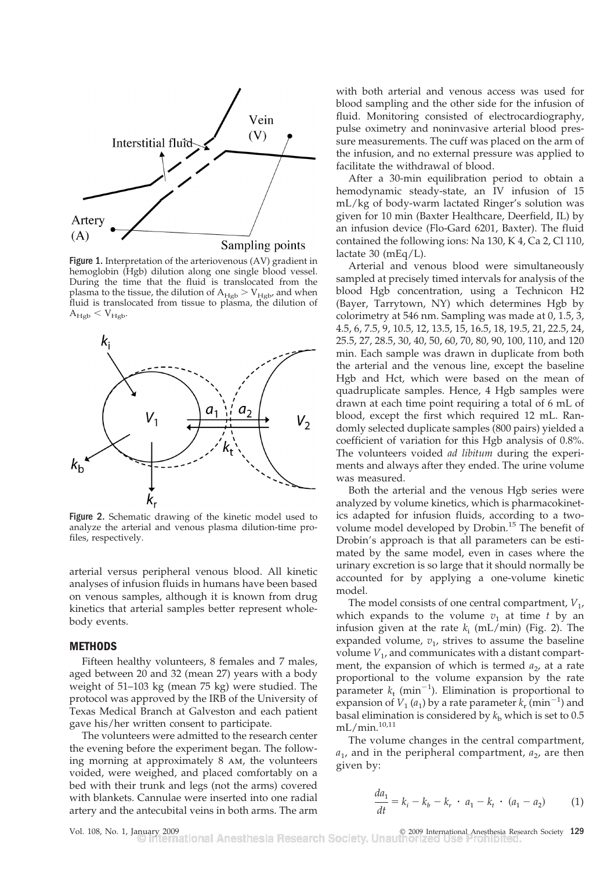

Figure 1. Interpretation of the arteriovenous (AV) gradient in hemoglobin (Hgb) dilution along one single blood vessel. During the time that the fluid is translocated from the plasma to the tissue, the dilution of  $A_{Hgb} > V_{Hgb}$ , and when fluid is translocated from tissue to plasma, the dilution of  $A_{Hgb} < V_{Hgb}$ .



Figure 2. Schematic drawing of the kinetic model used to analyze the arterial and venous plasma dilution-time profiles, respectively.

arterial versus peripheral venous blood. All kinetic analyses of infusion fluids in humans have been based on venous samples, although it is known from drug kinetics that arterial samples better represent wholebody events.

## **METHODS**

Fifteen healthy volunteers, 8 females and 7 males, aged between 20 and 32 (mean 27) years with a body weight of 51–103 kg (mean 75 kg) were studied. The protocol was approved by the IRB of the University of Texas Medical Branch at Galveston and each patient gave his/her written consent to participate.

The volunteers were admitted to the research center the evening before the experiment began. The following morning at approximately 8 am, the volunteers voided, were weighed, and placed comfortably on a bed with their trunk and legs (not the arms) covered with blankets. Cannulae were inserted into one radial artery and the antecubital veins in both arms. The arm

with both arterial and venous access was used for blood sampling and the other side for the infusion of fluid. Monitoring consisted of electrocardiography, pulse oximetry and noninvasive arterial blood pressure measurements. The cuff was placed on the arm of the infusion, and no external pressure was applied to facilitate the withdrawal of blood.

After a 30-min equilibration period to obtain a hemodynamic steady-state, an IV infusion of 15 mL/kg of body-warm lactated Ringer's solution was given for 10 min (Baxter Healthcare, Deerfield, IL) by an infusion device (Flo-Gard 6201, Baxter). The fluid contained the following ions: Na 130, K 4, Ca 2, Cl 110, lactate  $30$  (mEq/L).

Arterial and venous blood were simultaneously sampled at precisely timed intervals for analysis of the blood Hgb concentration, using a Technicon H2 (Bayer, Tarrytown, NY) which determines Hgb by colorimetry at 546 nm. Sampling was made at 0, 1.5, 3, 4.5, 6, 7.5, 9, 10.5, 12, 13.5, 15, 16.5, 18, 19.5, 21, 22.5, 24, 25.5, 27, 28.5, 30, 40, 50, 60, 70, 80, 90, 100, 110, and 120 min. Each sample was drawn in duplicate from both the arterial and the venous line, except the baseline Hgb and Hct, which were based on the mean of quadruplicate samples. Hence, 4 Hgb samples were drawn at each time point requiring a total of 6 mL of blood, except the first which required 12 mL. Randomly selected duplicate samples (800 pairs) yielded a coefficient of variation for this Hgb analysis of 0.8%. The volunteers voided *ad libitum* during the experiments and always after they ended. The urine volume was measured.

Both the arterial and the venous Hgb series were analyzed by volume kinetics, which is pharmacokinetics adapted for infusion fluids, according to a twovolume model developed by Drobin.<sup>15</sup> The benefit of Drobin's approach is that all parameters can be estimated by the same model, even in cases where the urinary excretion is so large that it should normally be accounted for by applying a one-volume kinetic model.

The model consists of one central compartment,  $V_1$ , which expands to the volume  $v_1$  at time *t* by an infusion given at the rate  $k_i$  (mL/min) (Fig. 2). The expanded volume,  $v_1$ , strives to assume the baseline volume  $V_1$ , and communicates with a distant compartment, the expansion of which is termed  $a_2$ , at a rate proportional to the volume expansion by the rate  $p$ arameter  $k_t$  (min<sup>-1</sup>). Elimination is proportional to expansion of  $V_1(a_1)$  by a rate parameter  $k_r$  (min<sup>-1</sup>) and basal elimination is considered by  $k<sub>b</sub>$  which is set to 0.5  $mL/min.<sup>10,11</sup>$ 

The volume changes in the central compartment,  $a_1$ , and in the peripheral compartment,  $a_2$ , are then given by:

$$
\frac{da_1}{dt} = k_i - k_b - k_r \cdot a_1 - k_t \cdot (a_1 - a_2) \tag{1}
$$

Vol. 108, No. 1, January 2009 © 2009 International Anesthesia Research Society 129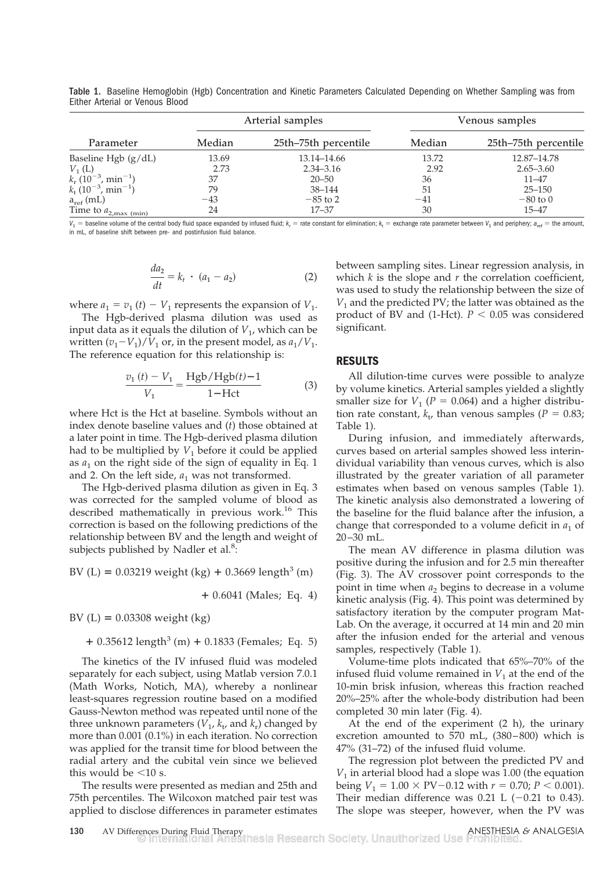| Parameter                                           | Arterial samples |                      | Venous samples |                      |
|-----------------------------------------------------|------------------|----------------------|----------------|----------------------|
|                                                     | Median           | 25th–75th percentile | Median         | 25th–75th percentile |
| Baseline Hgb $(g/dL)$                               | 13.69            | 13.14–14.66          | 13.72          | 12.87–14.78          |
| $V_1(L)$                                            | 2.73             | $2.34 - 3.16$        | 2.92           | $2.65 - 3.60$        |
| $k_r(10^{-3}, \text{min}^{-1})$                     | 37               | $20 - 50$            | 36             | $11 - 47$            |
| $k_{\rm t}$ (10 <sup>-3</sup> , min <sup>-1</sup> ) | 79               | $38 - 144$           | 51             | $25 - 150$           |
| $a_{ref}(mL)$                                       | $-43$            | $-85$ to 2           | $-41$          | $-80$ to 0           |
| Time to $a_{2,\text{max (min)}}$                    | 24               | $17 - 37$            | 30             | $15 - 47$            |

Table 1. Baseline Hemoglobin (Hgb) Concentration and Kinetic Parameters Calculated Depending on Whether Sampling was from Either Arterial or Venous Blood

 $V_1$  = baseline volume of the central body fluid space expanded by infused fluid;  $k_r$  = rate constant for elimination;  $k_r$  = exchange rate parameter between  $V_1$  and periphery;  $a_{\text{net}}$  = the amount, in mL, of baseline shift between pre- and postinfusion fluid balance.

$$
\frac{da_2}{dt} = k_t \cdot (a_1 - a_2) \tag{2}
$$

where  $a_1 = v_1 (t) - V_1$  represents the expansion of  $V_1$ .

The Hgb-derived plasma dilution was used as input data as it equals the dilution of  $V_1$ , which can be written  $(v_1 - V_1)/V_1$  or, in the present model, as  $a_1/V_1$ . The reference equation for this relationship is:

$$
\frac{v_1(t) - V_1}{V_1} = \frac{\text{Hgb/Hgb}(t) - 1}{1 - \text{Hct}}\tag{3}
$$

where Hct is the Hct at baseline. Symbols without an index denote baseline values and (*t*) those obtained at a later point in time. The Hgb-derived plasma dilution had to be multiplied by  $V_1$  before it could be applied as  $a_1$  on the right side of the sign of equality in Eq. 1 and 2. On the left side,  $a_1$  was not transformed.

The Hgb-derived plasma dilution as given in Eq. 3 was corrected for the sampled volume of blood as described mathematically in previous work.<sup>16</sup> This correction is based on the following predictions of the relationship between BV and the length and weight of subjects published by Nadler et al. $8$ :

BV (L) =  $0.03219$  weight (kg) +  $0.3669$  length<sup>3</sup> (m)

 $+ 0.6041$  (Males; Eq. 4)

 $BV (L) = 0.03308$  weight (kg)

 $+ 0.35612$  length<sup>3</sup> (m)  $+ 0.1833$  (Females; Eq. 5)

The kinetics of the IV infused fluid was modeled separately for each subject, using Matlab version 7.0.1 (Math Works, Notich, MA), whereby a nonlinear least-squares regression routine based on a modified Gauss-Newton method was repeated until none of the three unknown parameters  $(V_1, k_t, \text{and } k_r)$  changed by more than 0.001 (0.1%) in each iteration. No correction was applied for the transit time for blood between the radial artery and the cubital vein since we believed this would be  $\leq 10$  s.

The results were presented as median and 25th and 75th percentiles. The Wilcoxon matched pair test was applied to disclose differences in parameter estimates between sampling sites. Linear regression analysis, in which *k* is the slope and *r* the correlation coefficient, was used to study the relationship between the size of *V*<sup>1</sup> and the predicted PV; the latter was obtained as the product of BV and (1-Hct).  $P < 0.05$  was considered significant.

## RESULTS

All dilution-time curves were possible to analyze by volume kinetics. Arterial samples yielded a slightly smaller size for  $V_1$  ( $P = 0.064$ ) and a higher distribution rate constant,  $k_t$ , than venous samples ( $P = 0.83$ ; Table 1).

During infusion, and immediately afterwards, curves based on arterial samples showed less interindividual variability than venous curves, which is also illustrated by the greater variation of all parameter estimates when based on venous samples (Table 1). The kinetic analysis also demonstrated a lowering of the baseline for the fluid balance after the infusion, a change that corresponded to a volume deficit in  $a_1$  of 20–30 mL.

The mean AV difference in plasma dilution was positive during the infusion and for 2.5 min thereafter (Fig. 3). The AV crossover point corresponds to the point in time when  $a_2$  begins to decrease in a volume kinetic analysis (Fig. 4). This point was determined by satisfactory iteration by the computer program Mat-Lab. On the average, it occurred at 14 min and 20 min after the infusion ended for the arterial and venous samples, respectively (Table 1).

Volume-time plots indicated that 65%–70% of the infused fluid volume remained in  $V_1$  at the end of the 10-min brisk infusion, whereas this fraction reached 20%–25% after the whole-body distribution had been completed 30 min later (Fig. 4).

At the end of the experiment (2 h), the urinary excretion amounted to 570 mL, (380–800) which is 47% (31–72) of the infused fluid volume.

The regression plot between the predicted PV and  $V_1$  in arterial blood had a slope was 1.00 (the equation being  $V_1 = 1.00 \times PV - 0.12$  with  $r = 0.70$ ;  $P < 0.001$ ). Their median difference was 0.21 L  $(-0.21 \text{ to } 0.43)$ . The slope was steeper, however, when the PV was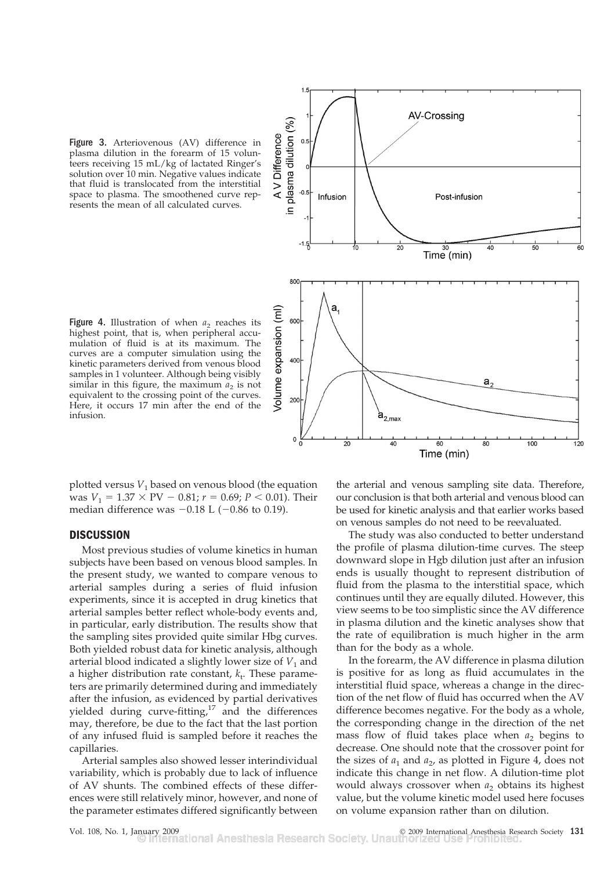





plotted versus  $V_1$  based on venous blood (the equation was  $V_1 = 1.37 \times PV - 0.81$ ;  $r = 0.69$ ;  $P < 0.01$ ). Their median difference was  $-0.18$  L ( $-0.86$  to 0.19).

#### **DISCUSSION**

Most previous studies of volume kinetics in human subjects have been based on venous blood samples. In the present study, we wanted to compare venous to arterial samples during a series of fluid infusion experiments, since it is accepted in drug kinetics that arterial samples better reflect whole-body events and, in particular, early distribution. The results show that the sampling sites provided quite similar Hbg curves. Both yielded robust data for kinetic analysis, although arterial blood indicated a slightly lower size of  $V_1$  and a higher distribution rate constant,  $k_t$ . These parameters are primarily determined during and immediately after the infusion, as evidenced by partial derivatives yielded during curve-fitting, $17$  and the differences may, therefore, be due to the fact that the last portion of any infused fluid is sampled before it reaches the capillaries.

Arterial samples also showed lesser interindividual variability, which is probably due to lack of influence of AV shunts. The combined effects of these differences were still relatively minor, however, and none of the parameter estimates differed significantly between the arterial and venous sampling site data. Therefore, our conclusion is that both arterial and venous blood can be used for kinetic analysis and that earlier works based on venous samples do not need to be reevaluated.

The study was also conducted to better understand the profile of plasma dilution-time curves. The steep downward slope in Hgb dilution just after an infusion ends is usually thought to represent distribution of fluid from the plasma to the interstitial space, which continues until they are equally diluted. However, this view seems to be too simplistic since the AV difference in plasma dilution and the kinetic analyses show that the rate of equilibration is much higher in the arm than for the body as a whole.

In the forearm, the AV difference in plasma dilution is positive for as long as fluid accumulates in the interstitial fluid space, whereas a change in the direction of the net flow of fluid has occurred when the AV difference becomes negative. For the body as a whole, the corresponding change in the direction of the net mass flow of fluid takes place when  $a_2$  begins to decrease. One should note that the crossover point for the sizes of  $a_1$  and  $a_2$ , as plotted in Figure 4, does not indicate this change in net flow. A dilution-time plot would always crossover when  $a_2$  obtains its highest value, but the volume kinetic model used here focuses on volume expansion rather than on dilution.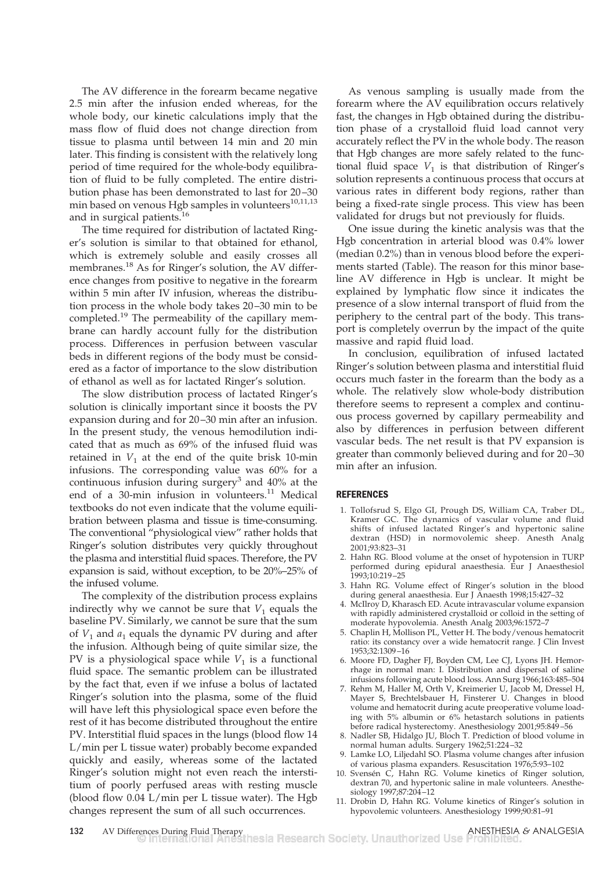The AV difference in the forearm became negative 2.5 min after the infusion ended whereas, for the whole body, our kinetic calculations imply that the mass flow of fluid does not change direction from tissue to plasma until between 14 min and 20 min later. This finding is consistent with the relatively long period of time required for the whole-body equilibration of fluid to be fully completed. The entire distribution phase has been demonstrated to last for 20–30 min based on venous Hgb samples in volunteers $10,11,13$ and in surgical patients.<sup>16</sup>

The time required for distribution of lactated Ringer's solution is similar to that obtained for ethanol, which is extremely soluble and easily crosses all membranes.<sup>18</sup> As for Ringer's solution, the AV difference changes from positive to negative in the forearm within 5 min after IV infusion, whereas the distribution process in the whole body takes 20–30 min to be completed.19 The permeability of the capillary membrane can hardly account fully for the distribution process. Differences in perfusion between vascular beds in different regions of the body must be considered as a factor of importance to the slow distribution of ethanol as well as for lactated Ringer's solution.

The slow distribution process of lactated Ringer's solution is clinically important since it boosts the PV expansion during and for 20–30 min after an infusion. In the present study, the venous hemodilution indicated that as much as 69% of the infused fluid was retained in  $V_1$  at the end of the quite brisk 10-min infusions. The corresponding value was 60% for a continuous infusion during surgery<sup>3</sup> and  $40\%$  at the end of a 30-min infusion in volunteers.<sup>11</sup> Medical textbooks do not even indicate that the volume equilibration between plasma and tissue is time-consuming. The conventional "physiological view" rather holds that Ringer's solution distributes very quickly throughout the plasma and interstitial fluid spaces. Therefore, the PV expansion is said, without exception, to be 20%–25% of the infused volume.

The complexity of the distribution process explains indirectly why we cannot be sure that  $V_1$  equals the baseline PV. Similarly, we cannot be sure that the sum of  $V_1$  and  $a_1$  equals the dynamic PV during and after the infusion. Although being of quite similar size, the PV is a physiological space while  $V_1$  is a functional fluid space. The semantic problem can be illustrated by the fact that, even if we infuse a bolus of lactated Ringer's solution into the plasma, some of the fluid will have left this physiological space even before the rest of it has become distributed throughout the entire PV. Interstitial fluid spaces in the lungs (blood flow 14 L/min per L tissue water) probably become expanded quickly and easily, whereas some of the lactated Ringer's solution might not even reach the interstitium of poorly perfused areas with resting muscle (blood flow 0.04 L/min per L tissue water). The Hgb changes represent the sum of all such occurrences.

As venous sampling is usually made from the forearm where the AV equilibration occurs relatively fast, the changes in Hgb obtained during the distribution phase of a crystalloid fluid load cannot very accurately reflect the PV in the whole body. The reason that Hgb changes are more safely related to the functional fluid space  $V_1$  is that distribution of Ringer's solution represents a continuous process that occurs at various rates in different body regions, rather than being a fixed-rate single process. This view has been validated for drugs but not previously for fluids.

One issue during the kinetic analysis was that the Hgb concentration in arterial blood was 0.4% lower (median 0.2%) than in venous blood before the experiments started (Table). The reason for this minor baseline AV difference in Hgb is unclear. It might be explained by lymphatic flow since it indicates the presence of a slow internal transport of fluid from the periphery to the central part of the body. This transport is completely overrun by the impact of the quite massive and rapid fluid load.

In conclusion, equilibration of infused lactated Ringer's solution between plasma and interstitial fluid occurs much faster in the forearm than the body as a whole. The relatively slow whole-body distribution therefore seems to represent a complex and continuous process governed by capillary permeability and also by differences in perfusion between different vascular beds. The net result is that PV expansion is greater than commonly believed during and for 20–30 min after an infusion.

### REFERENCES

- 1. Tollofsrud S, Elgo GI, Prough DS, William CA, Traber DL, Kramer GC. The dynamics of vascular volume and fluid shifts of infused lactated Ringer's and hypertonic saline dextran (HSD) in normovolemic sheep. Anesth Analg 2001;93:823–31
- 2. Hahn RG. Blood volume at the onset of hypotension in TURP performed during epidural anaesthesia. Eur J Anaesthesiol 1993;10:219–25
- 3. Hahn RG. Volume effect of Ringer's solution in the blood during general anaesthesia. Eur J Anaesth 1998;15:427–32
- 4. McIlroy D, Kharasch ED. Acute intravascular volume expansion with rapidly administered crystalloid or colloid in the setting of moderate hypovolemia. Anesth Analg 2003;96:1572–7
- 5. Chaplin H, Mollison PL, Vetter H. The body/venous hematocrit ratio: its constancy over a wide hematocrit range. J Clin Invest 1953;32:1309–16
- 6. Moore FD, Dagher FJ, Boyden CM, Lee CJ, Lyons JH. Hemorrhage in normal man: I. Distribution and dispersal of saline infusions following acute blood loss. Ann Surg 1966;163:485–504
- 7. Rehm M, Haller M, Orth V, Kreimerier U, Jacob M, Dressel H, Mayer S, Brechtelsbauer H, Finsterer U. Changes in blood volume and hematocrit during acute preoperative volume loading with 5% albumin or 6% hetastarch solutions in patients before radical hysterectomy. Anesthesiology 2001;95:849–56
- 8. Nadler SB, Hidalgo JU, Bloch T. Prediction of blood volume in normal human adults. Surgery 1962;51:224–32
- 9. Lamke LO, Liljedahl SO. Plasma volume changes after infusion of various plasma expanders. Resuscitation 1976;5:93–102
- 10. Svensén C, Hahn RG. Volume kinetics of Ringer solution, dextran 70, and hypertonic saline in male volunteers. Anesthesiology 1997;87:204–12
- 11. Drobin D, Hahn RG. Volume kinetics of Ringer's solution in hypovolemic volunteers. Anesthesiology 1999;90:81–91